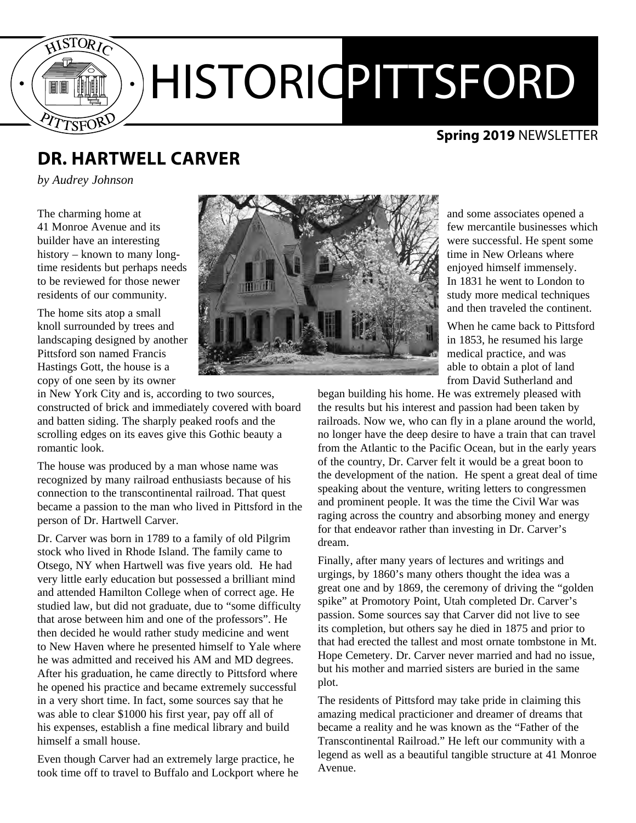

#### **Spring 2019** NEWSLETTER

## **DR. HARTWELL CARVER**

*by Audrey Johnson*

The charming home at 41 Monroe Avenue and its builder have an interesting history – known to many longtime residents but perhaps needs to be reviewed for those newer residents of our community.

The home sits atop a small knoll surrounded by trees and landscaping designed by another Pittsford son named Francis Hastings Gott, the house is a copy of one seen by its owner

in New York City and is, according to two sources, constructed of brick and immediately covered with board and batten siding. The sharply peaked roofs and the scrolling edges on its eaves give this Gothic beauty a romantic look.

The house was produced by a man whose name was recognized by many railroad enthusiasts because of his connection to the transcontinental railroad. That quest became a passion to the man who lived in Pittsford in the person of Dr. Hartwell Carver.

Dr. Carver was born in 1789 to a family of old Pilgrim stock who lived in Rhode Island. The family came to Otsego, NY when Hartwell was five years old. He had very little early education but possessed a brilliant mind and attended Hamilton College when of correct age. He studied law, but did not graduate, due to "some difficulty that arose between him and one of the professors". He then decided he would rather study medicine and went to New Haven where he presented himself to Yale where he was admitted and received his AM and MD degrees. After his graduation, he came directly to Pittsford where he opened his practice and became extremely successful in a very short time. In fact, some sources say that he was able to clear \$1000 his first year, pay off all of his expenses, establish a fine medical library and build himself a small house.

Even though Carver had an extremely large practice, he took time off to travel to Buffalo and Lockport where he



and some associates opened a few mercantile businesses which were successful. He spent some time in New Orleans where enjoyed himself immensely. In 1831 he went to London to study more medical techniques and then traveled the continent.

When he came back to Pittsford in 1853, he resumed his large medical practice, and was able to obtain a plot of land from David Sutherland and

began building his home. He was extremely pleased with the results but his interest and passion had been taken by railroads. Now we, who can fly in a plane around the world, no longer have the deep desire to have a train that can travel from the Atlantic to the Pacific Ocean, but in the early years of the country, Dr. Carver felt it would be a great boon to the development of the nation. He spent a great deal of time speaking about the venture, writing letters to congressmen and prominent people. It was the time the Civil War was raging across the country and absorbing money and energy for that endeavor rather than investing in Dr. Carver's dream.

Finally, after many years of lectures and writings and urgings, by 1860's many others thought the idea was a great one and by 1869, the ceremony of driving the "golden spike" at Promotory Point, Utah completed Dr. Carver's passion. Some sources say that Carver did not live to see its completion, but others say he died in 1875 and prior to that had erected the tallest and most ornate tombstone in Mt. Hope Cemetery. Dr. Carver never married and had no issue, but his mother and married sisters are buried in the same plot.

The residents of Pittsford may take pride in claiming this amazing medical practicioner and dreamer of dreams that became a reality and he was known as the "Father of the Transcontinental Railroad." He left our community with a legend as well as a beautiful tangible structure at 41 Monroe Avenue.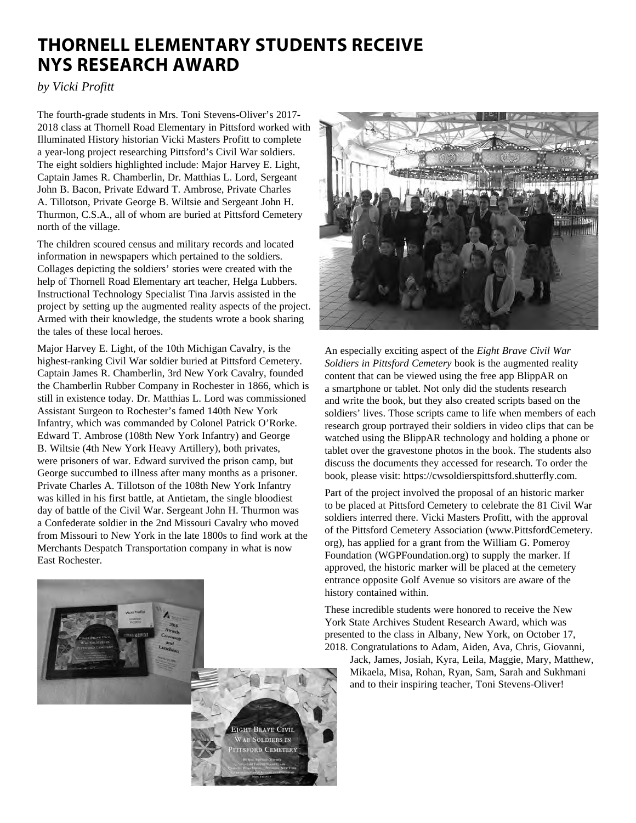### **THORNELL ELEMENTARY STUDENTS RECEIVE NYS RESEARCH AWARD**

*by Vicki Profitt*

The fourth-grade students in Mrs. Toni Stevens-Oliver's 2017- 2018 class at Thornell Road Elementary in Pittsford worked with Illuminated History historian Vicki Masters Profitt to complete a year-long project researching Pittsford's Civil War soldiers. The eight soldiers highlighted include: Major Harvey E. Light, Captain James R. Chamberlin, Dr. Matthias L. Lord, Sergeant John B. Bacon, Private Edward T. Ambrose, Private Charles A. Tillotson, Private George B. Wiltsie and Sergeant John H. Thurmon, C.S.A., all of whom are buried at Pittsford Cemetery north of the village.

The children scoured census and military records and located information in newspapers which pertained to the soldiers. Collages depicting the soldiers' stories were created with the help of Thornell Road Elementary art teacher, Helga Lubbers. Instructional Technology Specialist Tina Jarvis assisted in the project by setting up the augmented reality aspects of the project. Armed with their knowledge, the students wrote a book sharing the tales of these local heroes.

Major Harvey E. Light, of the 10th Michigan Cavalry, is the highest-ranking Civil War soldier buried at Pittsford Cemetery. Captain James R. Chamberlin, 3rd New York Cavalry, founded the Chamberlin Rubber Company in Rochester in 1866, which is still in existence today. Dr. Matthias L. Lord was commissioned Assistant Surgeon to Rochester's famed 140th New York Infantry, which was commanded by Colonel Patrick O'Rorke. Edward T. Ambrose (108th New York Infantry) and George B. Wiltsie (4th New York Heavy Artillery), both privates, were prisoners of war. Edward survived the prison camp, but George succumbed to illness after many months as a prisoner. Private Charles A. Tillotson of the 108th New York Infantry was killed in his first battle, at Antietam, the single bloodiest day of battle of the Civil War. Sergeant John H. Thurmon was a Confederate soldier in the 2nd Missouri Cavalry who moved from Missouri to New York in the late 1800s to find work at the Merchants Despatch Transportation company in what is now East Rochester.





An especially exciting aspect of the *Eight Brave Civil War Soldiers in Pittsford Cemetery* book is the augmented reality content that can be viewed using the free app BlippAR on a smartphone or tablet. Not only did the students research and write the book, but they also created scripts based on the soldiers' lives. Those scripts came to life when members of each research group portrayed their soldiers in video clips that can be watched using the BlippAR technology and holding a phone or tablet over the gravestone photos in the book. The students also discuss the documents they accessed for research. To order the book, please visit: https://cwsoldierspittsford.shutterfly.com.

Part of the project involved the proposal of an historic marker to be placed at Pittsford Cemetery to celebrate the 81 Civil War soldiers interred there. Vicki Masters Profitt, with the approval of the Pittsford Cemetery Association (www.PittsfordCemetery. org), has applied for a grant from the William G. Pomeroy Foundation (WGPFoundation.org) to supply the marker. If approved, the historic marker will be placed at the cemetery entrance opposite Golf Avenue so visitors are aware of the history contained within.

These incredible students were honored to receive the New York State Archives Student Research Award, which was presented to the class in Albany, New York, on October 17, 2018. Congratulations to Adam, Aiden, Ava, Chris, Giovanni,

Jack, James, Josiah, Kyra, Leila, Maggie, Mary, Matthew, Mikaela, Misa, Rohan, Ryan, Sam, Sarah and Sukhmani and to their inspiring teacher, Toni Stevens-Oliver!

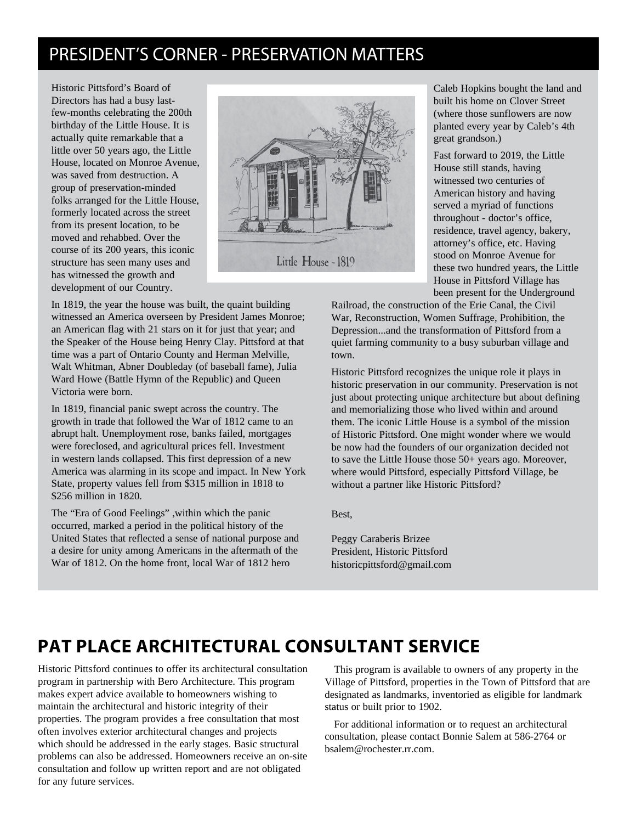### PRESIDENT'S CORNER - PRESERVATION MATTERS

Historic Pittsford's Board of Directors has had a busy lastfew-months celebrating the 200th birthday of the Little House. It is actually quite remarkable that a little over 50 years ago, the Little House, located on Monroe Avenue, was saved from destruction. A group of preservation-minded folks arranged for the Little House, formerly located across the street from its present location, to be moved and rehabbed. Over the course of its 200 years, this iconic structure has seen many uses and has witnessed the growth and development of our Country.



In 1819, the year the house was built, the quaint building witnessed an America overseen by President James Monroe; an American flag with 21 stars on it for just that year; and the Speaker of the House being Henry Clay. Pittsford at that time was a part of Ontario County and Herman Melville, Walt Whitman, Abner Doubleday (of baseball fame), Julia Ward Howe (Battle Hymn of the Republic) and Queen Victoria were born.

In 1819, financial panic swept across the country. The growth in trade that followed the War of 1812 came to an abrupt halt. Unemployment rose, banks failed, mortgages were foreclosed, and agricultural prices fell. Investment in western lands collapsed. This first depression of a new America was alarming in its scope and impact. In New York State, property values fell from \$315 million in 1818 to \$256 million in 1820.

The "Era of Good Feelings" ,within which the panic occurred, marked a period in the political history of the United States that reflected a sense of national purpose and a desire for unity among Americans in the aftermath of the War of 1812. On the home front, local War of 1812 hero

Caleb Hopkins bought the land and built his home on Clover Street (where those sunflowers are now planted every year by Caleb's 4th great grandson.)

Fast forward to 2019, the Little House still stands, having witnessed two centuries of American history and having served a myriad of functions throughout - doctor's office, residence, travel agency, bakery, attorney's office, etc. Having stood on Monroe Avenue for these two hundred years, the Little House in Pittsford Village has been present for the Underground

Railroad, the construction of the Erie Canal, the Civil War, Reconstruction, Women Suffrage, Prohibition, the Depression...and the transformation of Pittsford from a quiet farming community to a busy suburban village and town.

Historic Pittsford recognizes the unique role it plays in historic preservation in our community. Preservation is not just about protecting unique architecture but about defining and memorializing those who lived within and around them. The iconic Little House is a symbol of the mission of Historic Pittsford. One might wonder where we would be now had the founders of our organization decided not to save the Little House those 50+ years ago. Moreover, where would Pittsford, especially Pittsford Village, be without a partner like Historic Pittsford?

Best,

Peggy Caraberis Brizee President, Historic Pittsford historicpittsford@gmail.com

# **PAT PLACE ARCHITECTURAL CONSULTANT SERVICE**

Historic Pittsford continues to offer its architectural consultation program in partnership with Bero Architecture. This program makes expert advice available to homeowners wishing to maintain the architectural and historic integrity of their properties. The program provides a free consultation that most often involves exterior architectural changes and projects which should be addressed in the early stages. Basic structural problems can also be addressed. Homeowners receive an on-site consultation and follow up written report and are not obligated for any future services.

This program is available to owners of any property in the Village of Pittsford, properties in the Town of Pittsford that are designated as landmarks, inventoried as eligible for landmark status or built prior to 1902.

For additional information or to request an architectural consultation, please contact Bonnie Salem at 586-2764 or bsalem@rochester.rr.com.